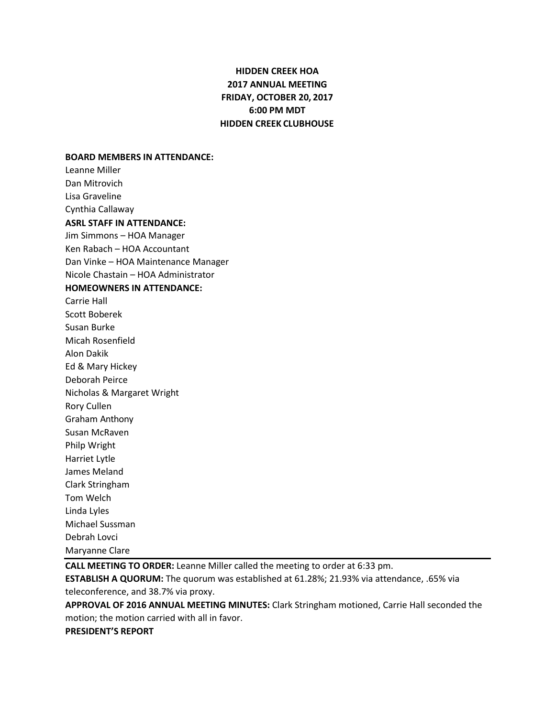# **HIDDEN CREEK HOA 2017 ANNUAL MEETING FRIDAY, OCTOBER 20, 2017 6:00 PM MDT HIDDEN CREEK CLUBHOUSE**

#### **BOARD MEMBERS IN ATTENDANCE:**

Leanne Miller Dan Mitrovich Lisa Graveline Cynthia Callaway **ASRL STAFF IN ATTENDANCE:** Jim Simmons – HOA Manager Ken Rabach – HOA Accountant Dan Vinke – HOA Maintenance Manager Nicole Chastain – HOA Administrator **HOMEOWNERS IN ATTENDANCE:** Carrie Hall Scott Boberek Susan Burke Micah Rosenfield Alon Dakik Ed & Mary Hickey Deborah Peirce Nicholas & Margaret Wright Rory Cullen Graham Anthony Susan McRaven Philp Wright Harriet Lytle James Meland Clark Stringham Tom Welch Linda Lyles Michael Sussman Debrah Lovci Maryanne Clare

**CALL MEETING TO ORDER:** Leanne Miller called the meeting to order at 6:33 pm. **ESTABLISH A QUORUM:** The quorum was established at 61.28%; 21.93% via attendance, .65% via teleconference, and 38.7% via proxy.

**APPROVAL OF 2016 ANNUAL MEETING MINUTES:** Clark Stringham motioned, Carrie Hall seconded the motion; the motion carried with all in favor.

**PRESIDENT'S REPORT**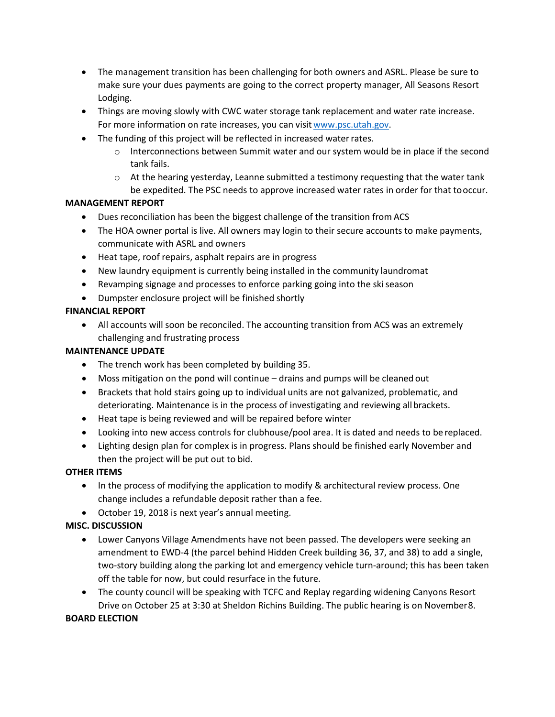- The management transition has been challenging for both owners and ASRL. Please be sure to make sure your dues payments are going to the correct property manager, All Seasons Resort Lodging.
- Things are moving slowly with CWC water storage tank replacement and water rate increase. For more information on rate increases, you can visit [www.psc.utah.gov.](http://www.psc.utah.gov/)
- The funding of this project will be reflected in increased waterrates.
	- o Interconnections between Summit water and our system would be in place if the second tank fails.
	- $\circ$  At the hearing yesterday, Leanne submitted a testimony requesting that the water tank be expedited. The PSC needs to approve increased water rates in order for that tooccur.

#### **MANAGEMENT REPORT**

- Dues reconciliation has been the biggest challenge of the transition from ACS
- The HOA owner portal is live. All owners may login to their secure accounts to make payments, communicate with ASRL and owners
- Heat tape, roof repairs, asphalt repairs are in progress
- New laundry equipment is currently being installed in the community laundromat
- Revamping signage and processes to enforce parking going into the skiseason
- Dumpster enclosure project will be finished shortly

### **FINANCIAL REPORT**

• All accounts will soon be reconciled. The accounting transition from ACS was an extremely challenging and frustrating process

#### **MAINTENANCE UPDATE**

- The trench work has been completed by building 35.
- Moss mitigation on the pond will continue drains and pumps will be cleaned out
- Brackets that hold stairs going up to individual units are not galvanized, problematic, and deteriorating. Maintenance is in the process of investigating and reviewing allbrackets.
- Heat tape is being reviewed and will be repaired before winter
- Looking into new access controls for clubhouse/pool area. It is dated and needs to be replaced.
- Lighting design plan for complex is in progress. Plans should be finished early November and then the project will be put out to bid.

#### **OTHER ITEMS**

- In the process of modifying the application to modify & architectural review process. One change includes a refundable deposit rather than a fee.
- October 19, 2018 is next year's annual meeting.

## **MISC. DISCUSSION**

- Lower Canyons Village Amendments have not been passed. The developers were seeking an amendment to EWD-4 (the parcel behind Hidden Creek building 36, 37, and 38) to add a single, two-story building along the parking lot and emergency vehicle turn-around; this has been taken off the table for now, but could resurface in the future.
- The county council will be speaking with TCFC and Replay regarding widening Canyons Resort Drive on October 25 at 3:30 at Sheldon Richins Building. The public hearing is on November8.

#### **BOARD ELECTION**